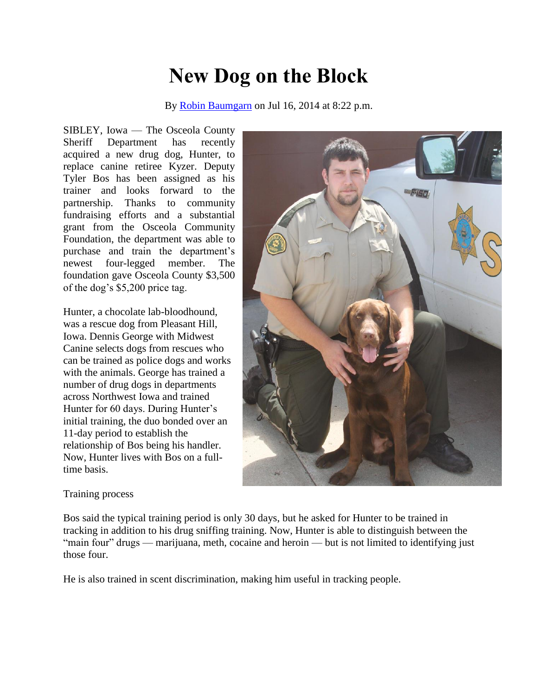## **New Dog on the Block**

By [Robin Baumgarn](http://www.dglobe.com/users/robin-baumgarn) on Jul 16, 2014 at 8:22 p.m.

SIBLEY, Iowa — The Osceola County Sheriff Department has recently acquired a new drug dog, Hunter, to replace canine retiree Kyzer. Deputy Tyler Bos has been assigned as his trainer and looks forward to the partnership. Thanks to community fundraising efforts and a substantial grant from the Osceola Community Foundation, the department was able to purchase and train the department's newest four-legged member. The foundation gave Osceola County \$3,500 of the dog's \$5,200 price tag.

Hunter, a chocolate lab-bloodhound, was a rescue dog from Pleasant Hill, Iowa. Dennis George with Midwest Canine selects dogs from rescues who can be trained as police dogs and works with the animals. George has trained a number of drug dogs in departments across Northwest Iowa and trained Hunter for 60 days. During Hunter's initial training, the duo bonded over an 11-day period to establish the relationship of Bos being his handler. Now, Hunter lives with Bos on a fulltime basis.



## Training process

Bos said the typical training period is only 30 days, but he asked for Hunter to be trained in tracking in addition to his drug sniffing training. Now, Hunter is able to distinguish between the "main four" drugs — marijuana, meth, cocaine and heroin — but is not limited to identifying just those four.

He is also trained in scent discrimination, making him useful in tracking people.